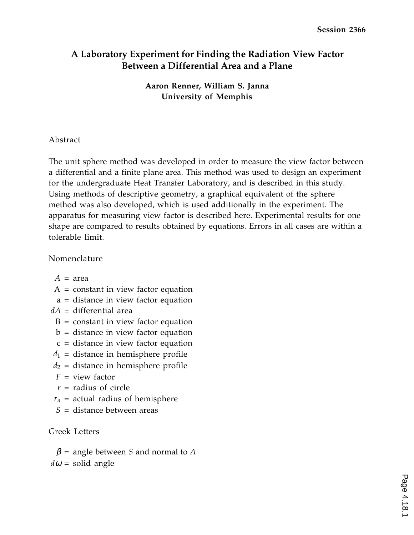## **A Laboratory Experiment for Finding the Radiation View Factor Between a Differential Area and a Plane**

**Aaron Renner, William S. Janna University of Memphis**

### Abstract

The unit sphere method was developed in order to measure the view factor between a differential and a finite plane area. This method was used to design an experiment for the undergraduate Heat Transfer Laboratory, and is described in this study. Using methods of descriptive geometry, a graphical equivalent of the sphere method was also developed, which is used additionally in the experiment. The apparatus for measuring view factor is described here. Experimental results for one shape are compared to results obtained by equations. Errors in all cases are within a tolerable limit.

#### Nomenclature

- $A = \text{area}$
- $A = constant$  in view factor equation
- a = distance in view factor equation
- *dA* = differential area
	- $B = constant$  in view factor equation
	- $b =$  distance in view factor equation
	- c = distance in view factor equation
- $d_1$  = distance in hemisphere profile
- $d_2$  = distance in hemisphere profile
- *F* = view factor
- *r* = radius of circle
- $r_a$  = actual radius of hemisphere
- *S* = distance between areas

### Greek Letters

 $\beta$  = angle between *S* and normal to *A*  $d\omega$  = solid angle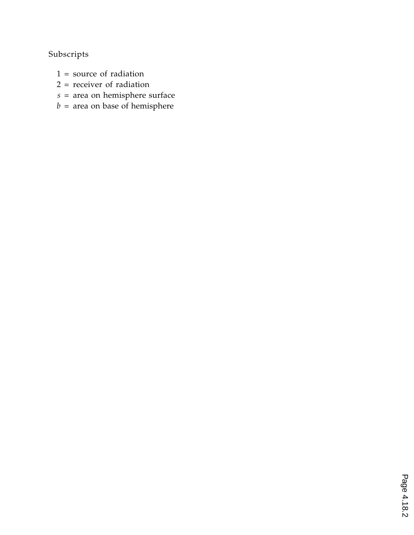# Subscripts

- $1 =$  source of radiation
- 2 = receiver of radiation
- *s* = area on hemisphere surface
- $b =$  area on base of hemisphere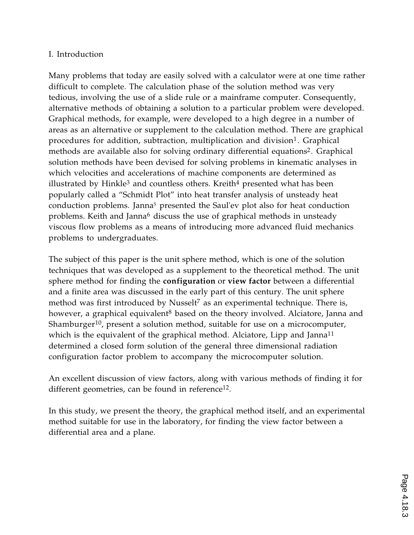#### I. Introduction

Many problems that today are easily solved with a calculator were at one time rather difficult to complete. The calculation phase of the solution method was very tedious, involving the use of a slide rule or a mainframe computer. Consequently, alternative methods of obtaining a solution to a particular problem were developed. Graphical methods, for example, were developed to a high degree in a number of areas as an alternative or supplement to the calculation method. There are graphical procedures for addition, subtraction, multiplication and division<sup>1</sup>. Graphical methods are available also for solving ordinary differential equations<sup>2</sup>. Graphical solution methods have been devised for solving problems in kinematic analyses in which velocities and accelerations of machine components are determined as illustrated by Hinkle<sup>3</sup> and countless others. Kreith<sup>4</sup> presented what has been popularly called a "Schmidt Plot" into heat transfer analysis of unsteady heat conduction problems. Janna<sup>5</sup> presented the Saul'ev plot also for heat conduction problems. Keith and Janna<sup>6</sup> discuss the use of graphical methods in unsteady viscous flow problems as a means of introducing more advanced fluid mechanics problems to undergraduates.

The subject of this paper is the unit sphere method, which is one of the solution techniques that was developed as a supplement to the theoretical method. The unit sphere method for finding the **configuration** or **view factor** between a differential and a finite area was discussed in the early part of this century. The unit sphere method was first introduced by Nusselt<sup>7</sup> as an experimental technique. There is, however, a graphical equivalent<sup>8</sup> based on the theory involved. Alciatore, Janna and Shamburger<sup>10</sup>, present a solution method, suitable for use on a microcomputer, which is the equivalent of the graphical method. Alciatore, Lipp and Janna<sup>11</sup> determined a closed form solution of the general three dimensional radiation configuration factor problem to accompany the microcomputer solution.

An excellent discussion of view factors, along with various methods of finding it for different geometries, can be found in reference<sup>12</sup>.

In this study, we present the theory, the graphical method itself, and an experimental method suitable for use in the laboratory, for finding the view factor between a differential area and a plane.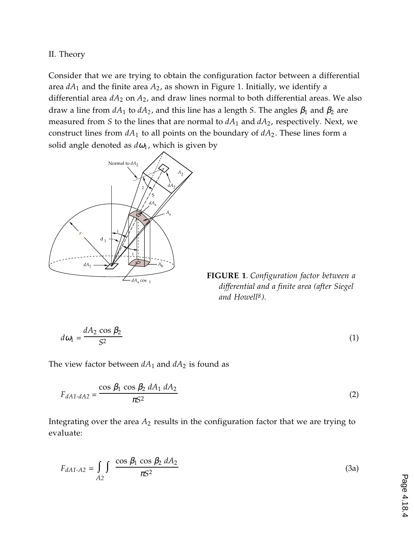II. Theory

Consider that we are trying to obtain the configuration factor between a differential area  $dA_1$  and the finite area  $A_2$ , as shown in Figure 1. Initially, we identify a differential area  $dA_2$  on  $A_2$ , and draw lines normal to both differential areas. We also draw a line from  $dA_1$  to  $dA_2$ , and this line has a length *S*. The angles  $\beta_1$  and  $\beta_2$  are measured from *S* to the lines that are normal to *dA*1 and *dA*2, respectively. Next, we construct lines from  $dA_1$  to all points on the boundary of  $dA_2$ . These lines form a solid angle denoted as  $d\omega_1$ , which is given by



**FIGURE 1**. *Configuration factor between a differential and a finite area (after Siegel and Howell8 ).*

$$
d\omega_1 = \frac{dA_2 \cos \beta_2}{S^2} \tag{1}
$$

The view factor between  $dA_1$  and  $dA_2$  is found as

$$
F_{dA1-dA2} = \frac{\cos \beta_1 \cos \beta_2 \, dA_1 \, dA_2}{\pi S^2} \tag{2}
$$

Integrating over the area *A*2 results in the configuration factor that we are trying to evaluate:

$$
F_{dA1-A2} = \int\limits_{A2} \int \frac{\cos \beta_1 \cos \beta_2 \, dA_2}{\pi S^2} \tag{3a}
$$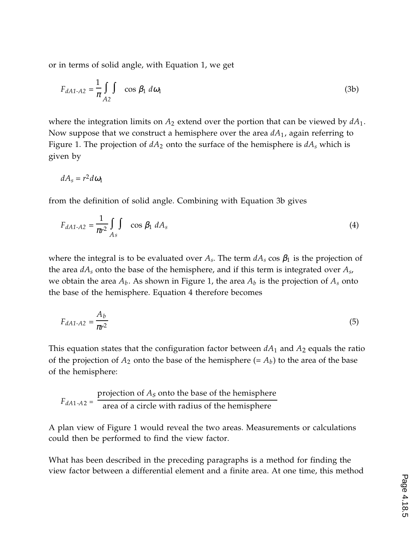or in terms of solid angle, with Equation 1, we get

$$
F_{dA1-A2} = \frac{1}{\pi} \int_{A2} \int_{\cos \beta_1} d\omega_1
$$
 (3b)

where the integration limits on  $A_2$  extend over the portion that can be viewed by  $dA_1$ . Now suppose that we construct a hemisphere over the area *dA*1, again referring to Figure 1. The projection of  $dA_2$  onto the surface of the hemisphere is  $dA_s$  which is given by

$$
dA_s = r^2 d\omega_1
$$

from the definition of solid angle. Combining with Equation 3b gives

$$
F_{dA1-A2} = \frac{1}{\pi r^2} \int_{As} \int \cos \beta_1 dA_s \tag{4}
$$

where the integral is to be evaluated over  $A_s$ . The term  $dA_s$  cos  $\beta_1$  is the projection of the area *dAs* onto the base of the hemisphere, and if this term is integrated over *As*, we obtain the area  $A_b$ . As shown in Figure 1, the area  $A_b$  is the projection of  $A_s$  onto the base of the hemisphere. Equation 4 therefore becomes

$$
F_{dA1-A2} = \frac{A_b}{\pi r^2} \tag{5}
$$

This equation states that the configuration factor between  $dA_1$  and  $A_2$  equals the ratio of the projection of  $A_2$  onto the base of the hemisphere  $(= A_b)$  to the area of the base of the hemisphere:

$$
F_{dA1 \rightarrow A2} = \frac{\text{projection of } A_S \text{ onto the base of the hemisphere}}{\text{area of a circle with radius of the hemisphere}}
$$

A plan view of Figure 1 would reveal the two areas. Measurements or calculations could then be performed to find the view factor.

What has been described in the preceding paragraphs is a method for finding the view factor between a differential element and a finite area. At one time, this method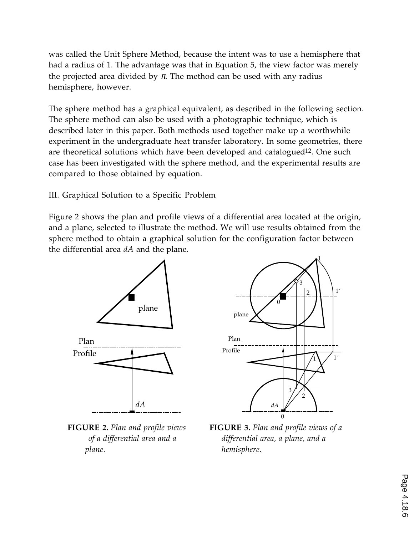was called the Unit Sphere Method, because the intent was to use a hemisphere that had a radius of 1. The advantage was that in Equation 5, the view factor was merely the projected area divided by  $\pi$ . The method can be used with any radius hemisphere, however.

The sphere method has a graphical equivalent, as described in the following section. The sphere method can also be used with a photographic technique, which is described later in this paper. Both methods used together make up a worthwhile experiment in the undergraduate heat transfer laboratory. In some geometries, there are theoretical solutions which have been developed and catalogued<sup>12</sup>. One such case has been investigated with the sphere method, and the experimental results are compared to those obtained by equation.

#### III. Graphical Solution to a Specific Problem

Figure 2 shows the plan and profile views of a differential area located at the origin, and a plane, selected to illustrate the method. We will use results obtained from the sphere method to obtain a graphical solution for the configuration factor between the differential area *dA* and the plane.



**FIGURE 2.** *Plan and profile views of a differential area and a plane.*



**FIGURE 3.** *Plan and profile views of a differential area, a plane, and a hemisphere.*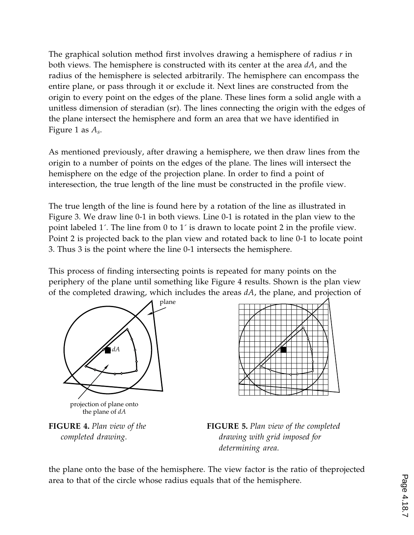The graphical solution method first involves drawing a hemisphere of radius *r* in both views. The hemisphere is constructed with its center at the area *dA*, and the radius of the hemisphere is selected arbitrarily. The hemisphere can encompass the entire plane, or pass through it or exclude it. Next lines are constructed from the origin to every point on the edges of the plane. These lines form a solid angle with a unitless dimension of steradian (sr). The lines connecting the origin with the edges of the plane intersect the hemisphere and form an area that we have identified in Figure 1 as *As*.

As mentioned previously, after drawing a hemisphere, we then draw lines from the origin to a number of points on the edges of the plane. The lines will intersect the hemisphere on the edge of the projection plane. In order to find a point of interesection, the true length of the line must be constructed in the profile view.

The true length of the line is found here by a rotation of the line as illustrated in Figure 3. We draw line 0-1 in both views. Line 0-1 is rotated in the plan view to the point labeled 1´. The line from 0 to 1´ is drawn to locate point 2 in the profile view. Point 2 is projected back to the plan view and rotated back to line 0-1 to locate point 3. Thus 3 is the point where the line 0-1 intersects the hemisphere.

This process of finding intersecting points is repeated for many points on the periphery of the plane until something like Figure 4 results. Shown is the plan view of the completed drawing, which includes the areas *dA*, the plane, and projection of



**FIGURE 4.** *Plan view of the completed drawing.*

**FIGURE 5.** *Plan view of the completed drawing with grid imposed for determining area.*

the plane onto the base of the hemisphere. The view factor is the ratio of theprojected area to that of the circle whose radius equals that of the hemisphere.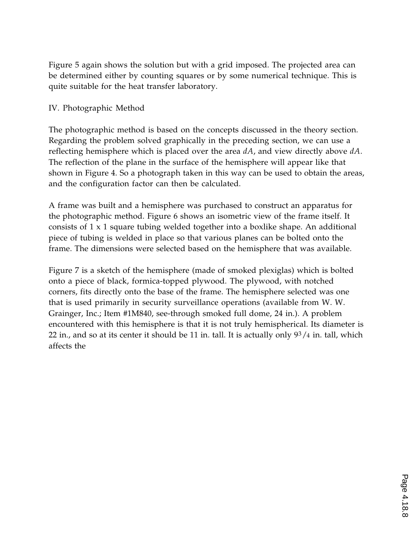Figure 5 again shows the solution but with a grid imposed. The projected area can be determined either by counting squares or by some numerical technique. This is quite suitable for the heat transfer laboratory.

#### IV. Photographic Method

The photographic method is based on the concepts discussed in the theory section. Regarding the problem solved graphically in the preceding section, we can use a reflecting hemisphere which is placed over the area *dA*, and view directly above *dA*. The reflection of the plane in the surface of the hemisphere will appear like that shown in Figure 4. So a photograph taken in this way can be used to obtain the areas, and the configuration factor can then be calculated.

A frame was built and a hemisphere was purchased to construct an apparatus for the photographic method. Figure 6 shows an isometric view of the frame itself. It consists of 1 x 1 square tubing welded together into a boxlike shape. An additional piece of tubing is welded in place so that various planes can be bolted onto the frame. The dimensions were selected based on the hemisphere that was available.

Figure 7 is a sketch of the hemisphere (made of smoked plexiglas) which is bolted onto a piece of black, formica-topped plywood. The plywood, with notched corners, fits directly onto the base of the frame. The hemisphere selected was one that is used primarily in security surveillance operations (available from W. W. Grainger, Inc.; Item #1M840, see-through smoked full dome, 24 in.). A problem encountered with this hemisphere is that it is not truly hemispherical. Its diameter is 22 in., and so at its center it should be 11 in. tall. It is actually only  $9^3/4$  in. tall, which affects the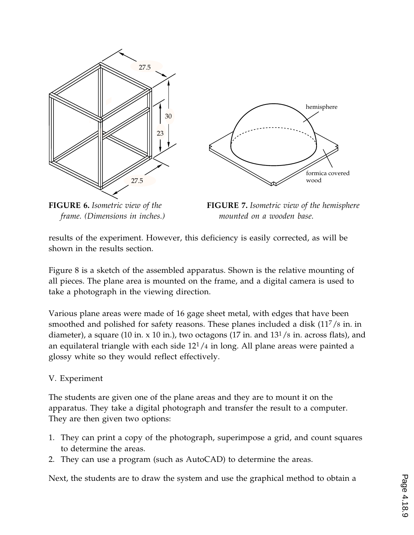



**FIGURE 6.** *Isometric view of the frame. (Dimensions in inches.)*

**FIGURE 7.** *Isometric view of the hemisphere mounted on a wooden base.*

results of the experiment. However, this deficiency is easily corrected, as will be shown in the results section.

Figure 8 is a sketch of the assembled apparatus. Shown is the relative mounting of all pieces. The plane area is mounted on the frame, and a digital camera is used to take a photograph in the viewing direction.

Various plane areas were made of 16 gage sheet metal, with edges that have been smoothed and polished for safety reasons. These planes included a disk  $(11<sup>7</sup>/8)$  in. in diameter), a square (10 in. x 10 in.), two octagons (17 in. and  $13^{1}/8$  in. across flats), and an equilateral triangle with each side  $12<sup>1</sup>/4$  in long. All plane areas were painted a glossy white so they would reflect effectively.

### V. Experiment

The students are given one of the plane areas and they are to mount it on the apparatus. They take a digital photograph and transfer the result to a computer. They are then given two options:

- 1. They can print a copy of the photograph, superimpose a grid, and count squares to determine the areas.
- 2. They can use a program (such as AutoCAD) to determine the areas.

Next, the students are to draw the system and use the graphical method to obtain a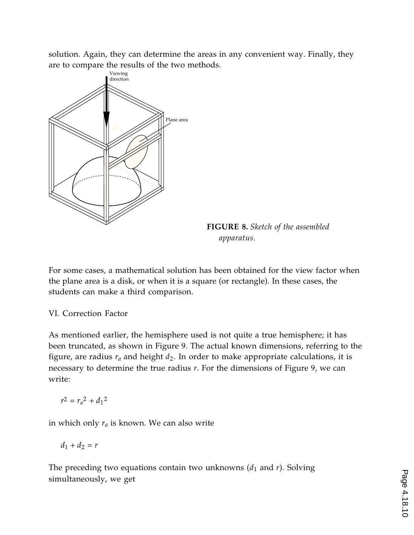solution. Again, they can determine the areas in any convenient way. Finally, they are to compare the results of the two methods.



**FIGURE 8.** *Sketch of the assembled apparatus.*

For some cases, a mathematical solution has been obtained for the view factor when the plane area is a disk, or when it is a square (or rectangle). In these cases, the students can make a third comparison.

#### VI. Correction Factor

As mentioned earlier, the hemisphere used is not quite a true hemisphere; it has been truncated, as shown in Figure 9. The actual known dimensions, referring to the figure, are radius  $r_a$  and height  $d_2$ . In order to make appropriate calculations, it is necessary to determine the true radius *r*. For the dimensions of Figure 9, we can write:

$$
r^2 = r_a^2 + d_1^2
$$

in which only  $r_a$  is known. We can also write

$$
d_1+d_2=r
$$

The preceding two equations contain two unknowns  $(d_1 \text{ and } r)$ . Solving simultaneously, we get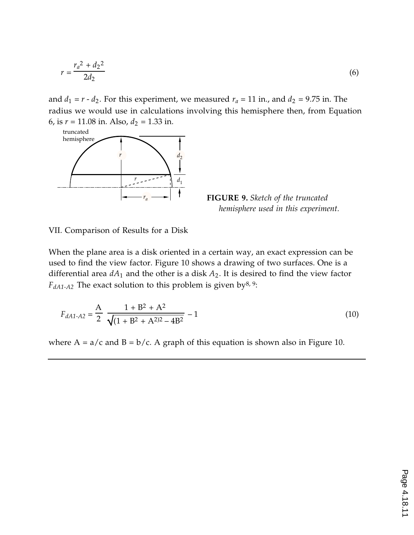$$
r = \frac{r_a^2 + d_2^2}{2d_2} \tag{6}
$$

and  $d_1 = r - d_2$ . For this experiment, we measured  $r_a = 11$  in., and  $d_2 = 9.75$  in. The radius we would use in calculations involving this hemisphere then, from Equation 6, is  $r = 11.08$  in. Also,  $d_2 = 1.33$  in.



**FIGURE 9.** *Sketch of the truncated hemisphere used in this experiment.*

VII. Comparison of Results for a Disk

When the plane area is a disk oriented in a certain way, an exact expression can be used to find the view factor. Figure 10 shows a drawing of two surfaces. One is a differential area  $dA_1$  and the other is a disk  $A_2$ . It is desired to find the view factor  $F_{dA1-A2}$  The exact solution to this problem is given by<sup>8, 9</sup>:

$$
F_{dA1-A2} = \frac{A}{2} \left( \frac{1 + B^2 + A^2}{\sqrt{(1 + B^2 + A^2)^2 - 4B^2}} - 1 \right)
$$
(10)

where  $A = a/c$  and  $B = b/c$ . A graph of this equation is shown also in Figure 10.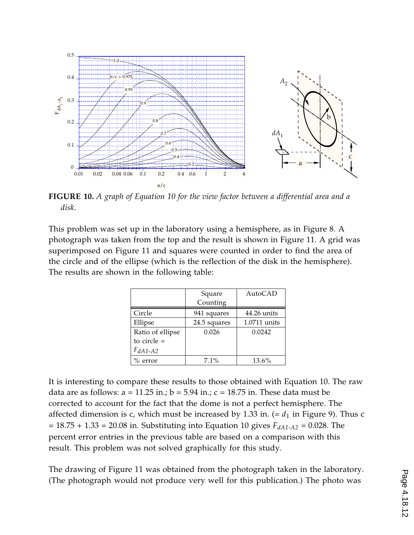

**FIGURE 10.** *A graph of Equation 10 for the view factor between a differential area and a disk.*

This problem was set up in the laboratory using a hemisphere, as in Figure 8. A photograph was taken from the top and the result is shown in Figure 11. A grid was superimposed on Figure 11 and squares were counted in order to find the area of the circle and of the ellipse (which is the reflection of the disk in the hemisphere). The results are shown in the following table:

|                  | Square       | AutoCAD        |
|------------------|--------------|----------------|
|                  | Counting     |                |
| Circle           | 941 squares  | 44.26 units    |
| Ellipse          | 24.5 squares | $1.0711$ units |
| Ratio of ellipse | 0.026        | 0.0242         |
| to circle $=$    |              |                |
| $F_{dA1-A2}$     |              |                |
| $\%$ error       | 7.1%         | 13.6%          |

It is interesting to compare these results to those obtained with Equation 10. The raw data are as follows:  $a = 11.25$  in.;  $b = 5.94$  in.;  $c = 18.75$  in. These data must be corrected to account for the fact that the dome is not a perfect hemisphere. The affected dimension is c, which must be increased by 1.33 in.  $(= d_1$  in Figure 9). Thus c  $= 18.75 + 1.33 = 20.08$  in. Substituting into Equation 10 gives  $F_{dA1-A2} = 0.028$ . The percent error entries in the previous table are based on a comparison with this result. This problem was not solved graphically for this study.

The drawing of Figure 11 was obtained from the photograph taken in the laboratory. (The photograph would not produce very well for this publication.) The photo was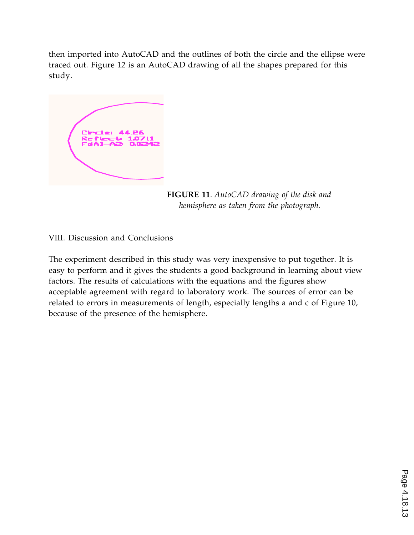then imported into AutoCAD and the outlines of both the circle and the ellipse were traced out. Figure 12 is an AutoCAD drawing of all the shapes prepared for this study.



**FIGURE 11**. *AutoCAD drawing of the disk and hemisphere as taken from the photograph.*

VIII. Discussion and Conclusions

The experiment described in this study was very inexpensive to put together. It is easy to perform and it gives the students a good background in learning about view factors. The results of calculations with the equations and the figures show acceptable agreement with regard to laboratory work. The sources of error can be related to errors in measurements of length, especially lengths a and c of Figure 10, because of the presence of the hemisphere.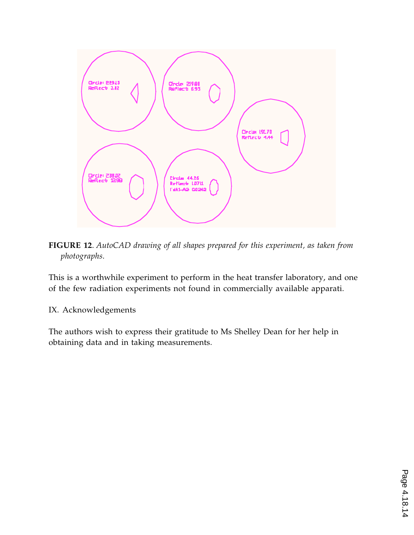

**FIGURE 12**. *AutoCAD drawing of all shapes prepared for this experiment, as taken from photographs.*

This is a worthwhile experiment to perform in the heat transfer laboratory, and one of the few radiation experiments not found in commercially available apparati.

#### IX. Acknowledgements

The authors wish to express their gratitude to Ms Shelley Dean for her help in obtaining data and in taking measurements.